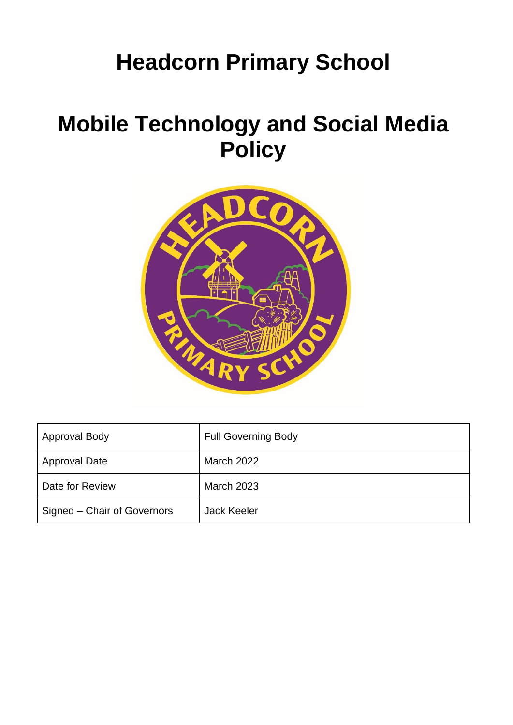# **Headcorn Primary School**

# **Mobile Technology and Social Media Policy**



| <b>Approval Body</b>        | <b>Full Governing Body</b> |
|-----------------------------|----------------------------|
| <b>Approval Date</b>        | March 2022                 |
| Date for Review             | <b>March 2023</b>          |
| Signed – Chair of Governors | <b>Jack Keeler</b>         |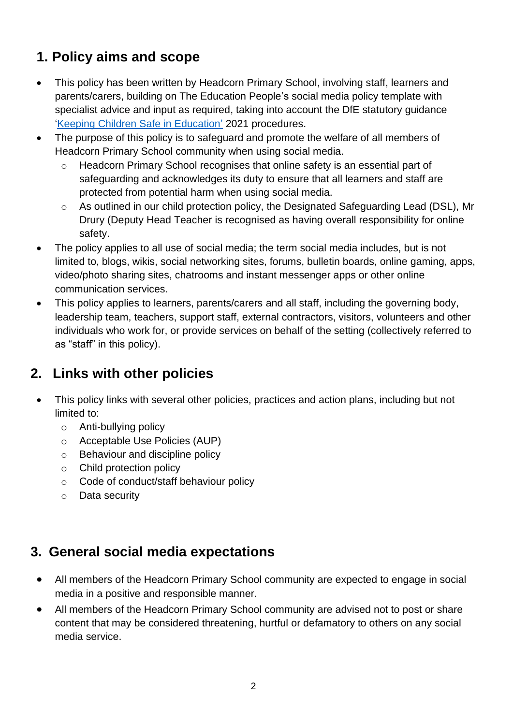## **1. Policy aims and scope**

- This policy has been written by Headcorn Primary School, involving staff, learners and parents/carers, building on The Education People's social media policy template with specialist advice and input as required, taking into account the DfE statutory guidance ['Keeping Children Safe in Education'](https://www.gov.uk/government/publications/keeping-children-safe-in-education--2) 2021 procedures.
- The purpose of this policy is to safeguard and promote the welfare of all members of Headcorn Primary School community when using social media.
	- o Headcorn Primary School recognises that online safety is an essential part of safeguarding and acknowledges its duty to ensure that all learners and staff are protected from potential harm when using social media.
	- o As outlined in our child protection policy, the Designated Safeguarding Lead (DSL), Mr Drury (Deputy Head Teacher is recognised as having overall responsibility for online safety.
- The policy applies to all use of social media; the term social media includes, but is not limited to, blogs, wikis, social networking sites, forums, bulletin boards, online gaming, apps, video/photo sharing sites, chatrooms and instant messenger apps or other online communication services.
- This policy applies to learners, parents/carers and all staff, including the governing body, leadership team, teachers, support staff, external contractors, visitors, volunteers and other individuals who work for, or provide services on behalf of the setting (collectively referred to as "staff" in this policy).

## **2. Links with other policies**

- This policy links with several other policies, practices and action plans, including but not limited to:
	- o Anti-bullying policy
	- o Acceptable Use Policies (AUP)
	- o Behaviour and discipline policy
	- o Child protection policy
	- o Code of conduct/staff behaviour policy
	- o Data security

## **3. General social media expectations**

- All members of the Headcorn Primary School community are expected to engage in social media in a positive and responsible manner.
- All members of the Headcorn Primary School community are advised not to post or share content that may be considered threatening, hurtful or defamatory to others on any social media service.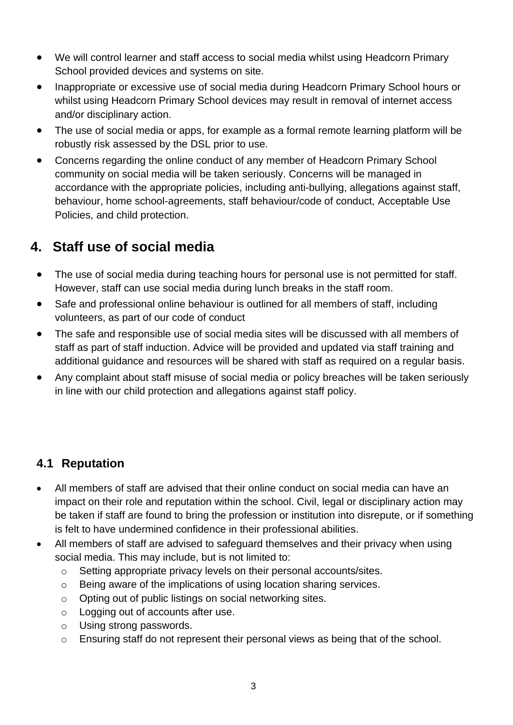- We will control learner and staff access to social media whilst using Headcorn Primary School provided devices and systems on site.
- Inappropriate or excessive use of social media during Headcorn Primary School hours or whilst using Headcorn Primary School devices may result in removal of internet access and/or disciplinary action.
- The use of social media or apps, for example as a formal remote learning platform will be robustly risk assessed by the DSL prior to use.
- Concerns regarding the online conduct of any member of Headcorn Primary School community on social media will be taken seriously. Concerns will be managed in accordance with the appropriate policies, including anti-bullying, allegations against staff, behaviour, home school-agreements, staff behaviour/code of conduct, Acceptable Use Policies, and child protection.

## **4. Staff use of social media**

- The use of social media during teaching hours for personal use is not permitted for staff. However, staff can use social media during lunch breaks in the staff room.
- Safe and professional online behaviour is outlined for all members of staff, including volunteers, as part of our code of conduct
- The safe and responsible use of social media sites will be discussed with all members of staff as part of staff induction. Advice will be provided and updated via staff training and additional guidance and resources will be shared with staff as required on a regular basis.
- Any complaint about staff misuse of social media or policy breaches will be taken seriously in line with our child protection and allegations against staff policy.

#### **4.1 Reputation**

- All members of staff are advised that their online conduct on social media can have an impact on their role and reputation within the school. Civil, legal or disciplinary action may be taken if staff are found to bring the profession or institution into disrepute, or if something is felt to have undermined confidence in their professional abilities.
- All members of staff are advised to safeguard themselves and their privacy when using social media. This may include, but is not limited to:
	- o Setting appropriate privacy levels on their personal accounts/sites.
	- o Being aware of the implications of using location sharing services.
	- o Opting out of public listings on social networking sites.
	- o Logging out of accounts after use.
	- o Using strong passwords.
	- o Ensuring staff do not represent their personal views as being that of the school.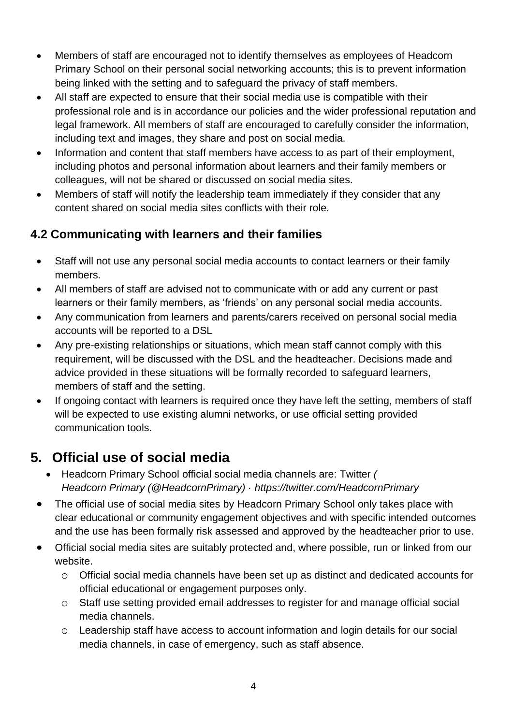- Members of staff are encouraged not to identify themselves as employees of Headcorn Primary School on their personal social networking accounts; this is to prevent information being linked with the setting and to safeguard the privacy of staff members.
- All staff are expected to ensure that their social media use is compatible with their professional role and is in accordance our policies and the wider professional reputation and legal framework. All members of staff are encouraged to carefully consider the information, including text and images, they share and post on social media.
- Information and content that staff members have access to as part of their employment, including photos and personal information about learners and their family members or colleagues, will not be shared or discussed on social media sites.
- Members of staff will notify the leadership team immediately if they consider that any content shared on social media sites conflicts with their role.

#### **4.2 Communicating with learners and their families**

- Staff will not use any personal social media accounts to contact learners or their family members.
- All members of staff are advised not to communicate with or add any current or past learners or their family members, as 'friends' on any personal social media accounts.
- Any communication from learners and parents/carers received on personal social media accounts will be reported to a DSL
- Any pre-existing relationships or situations, which mean staff cannot comply with this requirement, will be discussed with the DSL and the headteacher. Decisions made and advice provided in these situations will be formally recorded to safeguard learners, members of staff and the setting.
- If ongoing contact with learners is required once they have left the setting, members of staff will be expected to use existing alumni networks, or use official setting provided communication tools.

## **5. Official use of social media**

- Headcorn Primary School official social media channels are: Twitter *( Headcorn Primary (@HeadcornPrimary) · https://twitter.com/HeadcornPrimary*
- The official use of social media sites by Headcorn Primary School only takes place with clear educational or community engagement objectives and with specific intended outcomes and the use has been formally risk assessed and approved by the headteacher prior to use.
- Official social media sites are suitably protected and, where possible, run or linked from our website.
	- o Official social media channels have been set up as distinct and dedicated accounts for official educational or engagement purposes only.
	- o Staff use setting provided email addresses to register for and manage official social media channels.
	- o Leadership staff have access to account information and login details for our social media channels, in case of emergency, such as staff absence.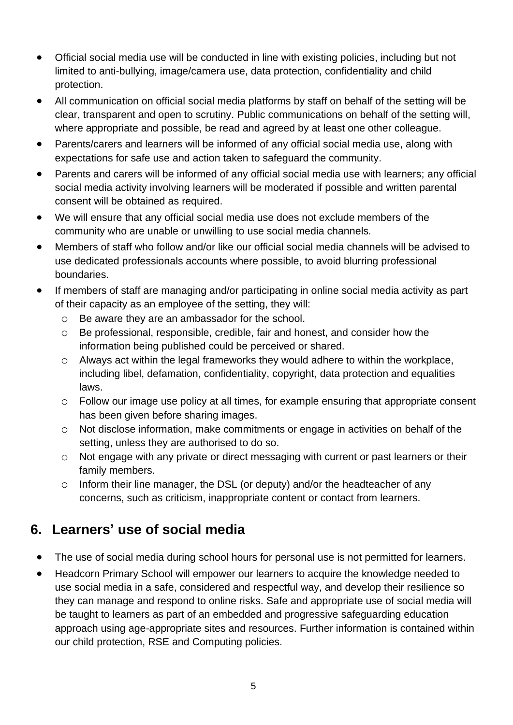- Official social media use will be conducted in line with existing policies, including but not limited to anti-bullying, image/camera use, data protection, confidentiality and child protection.
- All communication on official social media platforms by staff on behalf of the setting will be clear, transparent and open to scrutiny. Public communications on behalf of the setting will, where appropriate and possible, be read and agreed by at least one other colleague.
- Parents/carers and learners will be informed of any official social media use, along with expectations for safe use and action taken to safeguard the community.
- Parents and carers will be informed of any official social media use with learners; any official social media activity involving learners will be moderated if possible and written parental consent will be obtained as required.
- We will ensure that any official social media use does not exclude members of the community who are unable or unwilling to use social media channels.
- Members of staff who follow and/or like our official social media channels will be advised to use dedicated professionals accounts where possible, to avoid blurring professional boundaries.
- If members of staff are managing and/or participating in online social media activity as part of their capacity as an employee of the setting, they will:
	- o Be aware they are an ambassador for the school.
	- o Be professional, responsible, credible, fair and honest, and consider how the information being published could be perceived or shared.
	- o Always act within the legal frameworks they would adhere to within the workplace, including libel, defamation, confidentiality, copyright, data protection and equalities laws.
	- o Follow our image use policy at all times, for example ensuring that appropriate consent has been given before sharing images.
	- o Not disclose information, make commitments or engage in activities on behalf of the setting, unless they are authorised to do so.
	- o Not engage with any private or direct messaging with current or past learners or their family members.
	- o Inform their line manager, the DSL (or deputy) and/or the headteacher of any concerns, such as criticism, inappropriate content or contact from learners.

## **6. Learners' use of social media**

- The use of social media during school hours for personal use is not permitted for learners.
- Headcorn Primary School will empower our learners to acquire the knowledge needed to use social media in a safe, considered and respectful way, and develop their resilience so they can manage and respond to online risks. Safe and appropriate use of social media will be taught to learners as part of an embedded and progressive safeguarding education approach using age-appropriate sites and resources. Further information is contained within our child protection, RSE and Computing policies.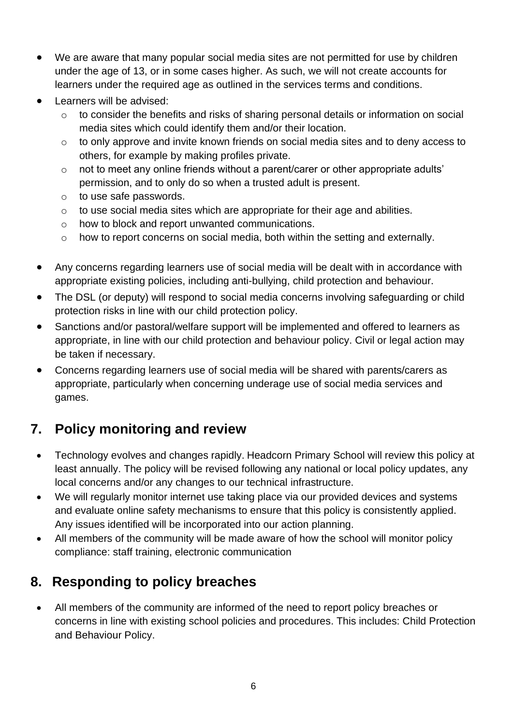- We are aware that many popular social media sites are not permitted for use by children under the age of 13, or in some cases higher. As such, we will not create accounts for learners under the required age as outlined in the services terms and conditions.
- Learners will be advised:
	- o to consider the benefits and risks of sharing personal details or information on social media sites which could identify them and/or their location.
	- o to only approve and invite known friends on social media sites and to deny access to others, for example by making profiles private.
	- o not to meet any online friends without a parent/carer or other appropriate adults' permission, and to only do so when a trusted adult is present.
	- o to use safe passwords.
	- o to use social media sites which are appropriate for their age and abilities.
	- o how to block and report unwanted communications.
	- o how to report concerns on social media, both within the setting and externally.
- Any concerns regarding learners use of social media will be dealt with in accordance with appropriate existing policies, including anti-bullying, child protection and behaviour.
- The DSL (or deputy) will respond to social media concerns involving safeguarding or child protection risks in line with our child protection policy.
- Sanctions and/or pastoral/welfare support will be implemented and offered to learners as appropriate, in line with our child protection and behaviour policy. Civil or legal action may be taken if necessary.
- Concerns regarding learners use of social media will be shared with parents/carers as appropriate, particularly when concerning underage use of social media services and games.

## **7. Policy monitoring and review**

- Technology evolves and changes rapidly. Headcorn Primary School will review this policy at least annually. The policy will be revised following any national or local policy updates, any local concerns and/or any changes to our technical infrastructure.
- We will regularly monitor internet use taking place via our provided devices and systems and evaluate online safety mechanisms to ensure that this policy is consistently applied. Any issues identified will be incorporated into our action planning.
- All members of the community will be made aware of how the school will monitor policy compliance: staff training, electronic communication

### **8. Responding to policy breaches**

• All members of the community are informed of the need to report policy breaches or concerns in line with existing school policies and procedures. This includes: Child Protection and Behaviour Policy.